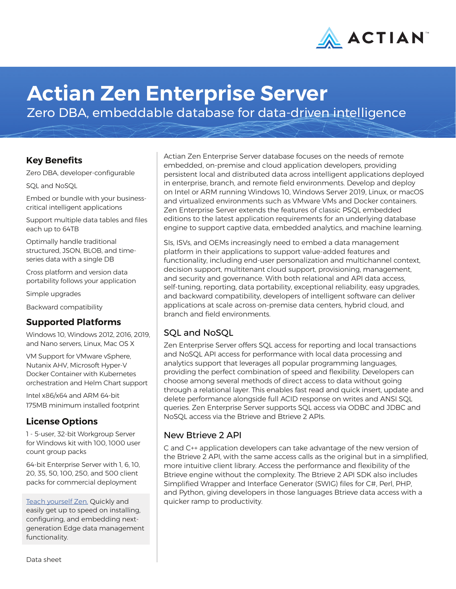

# **Actian Zen Enterprise Server**

Zero DBA, embeddable database for data-driven intelligence

### **Key Benefits**

Zero DBA, developer-configurable

SQL and NoSQL

Embed or bundle with your businesscritical intelligent applications

Support multiple data tables and files each up to 64TB

Optimally handle traditional structured, JSON, BLOB, and timeseries data with a single DB

Cross platform and version data portability follows your application

Simple upgrades

Backward compatibility

## **Supported Platforms**

Windows 10, Windows 2012, 2016, 2019, and Nano servers, Linux, Mac OS X

VM Support for VMware vSphere, Nutanix AHV, Microsoft Hyper-V Docker Container with Kubernetes orchestration and Helm Chart support

Intel x86/x64 and ARM 64-bit 175MB minimum installed footprint

## **License Options**

1 - 5-user, 32-bit Workgroup Server for Windows kit with 100, 1000 user count group packs

64-bit Enterprise Server with 1, 6, 10, 20, 35, 50, 100, 250, and 500 client packs for commercial deployment

[Teach yourself Zen.](http://zendocs.actian.com) Quickly and easily get up to speed on installing, configuring, and embedding nextgeneration Edge data management functionality.

Actian Zen Enterprise Server database focuses on the needs of remote embedded, on-premise and cloud application developers, providing persistent local and distributed data across intelligent applications deployed in enterprise, branch, and remote field environments. Develop and deploy on Intel or ARM running Windows 10, Windows Server 2019, Linux, or macOS and virtualized environments such as VMware VMs and Docker containers. Zen Enterprise Server extends the features of classic PSQL embedded editions to the latest application requirements for an underlying database engine to support captive data, embedded analytics, and machine learning.

SIs, ISVs, and OEMs increasingly need to embed a data management platform in their applications to support value-added features and functionality, including end-user personalization and multichannel context, decision support, multitenant cloud support, provisioning, management, and security and governance. With both relational and API data access, self-tuning, reporting, data portability, exceptional reliability, easy upgrades, and backward compatibility, developers of intelligent software can deliver applications at scale across on-premise data centers, hybrid cloud, and branch and field environments.

## SQL and NoSQL

Zen Enterprise Server offers SQL access for reporting and local transactions and NoSQL API access for performance with local data processing and analytics support that leverages all popular programming languages, providing the perfect combination of speed and flexibility. Developers can choose among several methods of direct access to data without going through a relational layer. This enables fast read and quick insert, update and delete performance alongside full ACID response on writes and ANSI SQL queries. Zen Enterprise Server supports SQL access via ODBC and JDBC and NoSQL access via the Btrieve and Btrieve 2 APIs.

## New Btrieve 2 API

C and C++ application developers can take advantage of the new version of the Btrieve 2 API, with the same access calls as the original but in a simplified, more intuitive client library. Access the performance and flexibility of the Btrieve engine without the complexity. The Btrieve 2 API SDK also includes Simplified Wrapper and Interface Generator (SWIG) files for C#, Perl, PHP, and Python, giving developers in those languages Btrieve data access with a quicker ramp to productivity.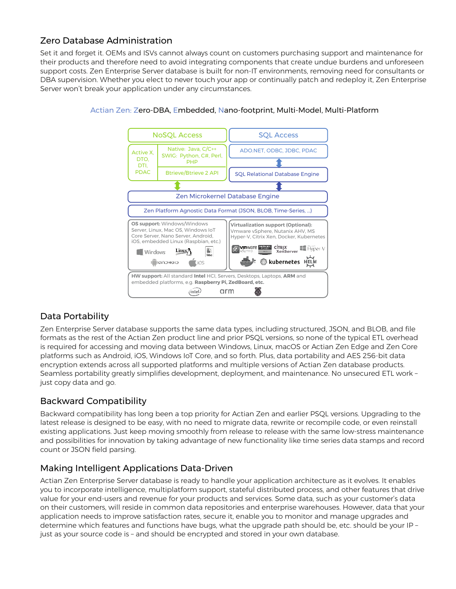## Zero Database Administration

Set it and forget it. OEMs and ISVs cannot always count on customers purchasing support and maintenance for their products and therefore need to avoid integrating components that create undue burdens and unforeseen support costs. Zen Enterprise Server database is built for non-IT environments, removing need for consultants or DBA supervision. Whether you elect to never touch your app or continually patch and redeploy it, Zen Enterprise Server won't break your application under any circumstances.



#### Actian Zen: Zero-DBA, Embedded, Nano-footprint, Multi-Model, Multi-Platform

## Data Portability

Zen Enterprise Server database supports the same data types, including structured, JSON, and BLOB, and file formats as the rest of the Actian Zen product line and prior PSQL versions, so none of the typical ETL overhead is required for accessing and moving data between Windows, Linux, macOS or Actian Zen Edge and Zen Core platforms such as Android, iOS, Windows IoT Core, and so forth. Plus, data portability and AES 256-bit data encryption extends across all supported platforms and multiple versions of Actian Zen database products. Seamless portability greatly simplifies development, deployment, and maintenance. No unsecured ETL work – just copy data and go.

## Backward Compatibility

Backward compatibility has long been a top priority for Actian Zen and earlier PSQL versions. Upgrading to the latest release is designed to be easy, with no need to migrate data, rewrite or recompile code, or even reinstall existing applications. Just keep moving smoothly from release to release with the same low-stress maintenance and possibilities for innovation by taking advantage of new functionality like time series data stamps and record count or JSON field parsing.

## Making Intelligent Applications Data-Driven

Actian Zen Enterprise Server database is ready to handle your application architecture as it evolves. It enables you to incorporate intelligence, multiplatform support, stateful distributed process, and other features that drive value for your end-users and revenue for your products and services. Some data, such as your customer's data on their customers, will reside in common data repositories and enterprise warehouses. However, data that your application needs to improve satisfaction rates, secure it, enable you to monitor and manage upgrades and determine which features and functions have bugs, what the upgrade path should be, etc. should be your IP – just as your source code is – and should be encrypted and stored in your own database.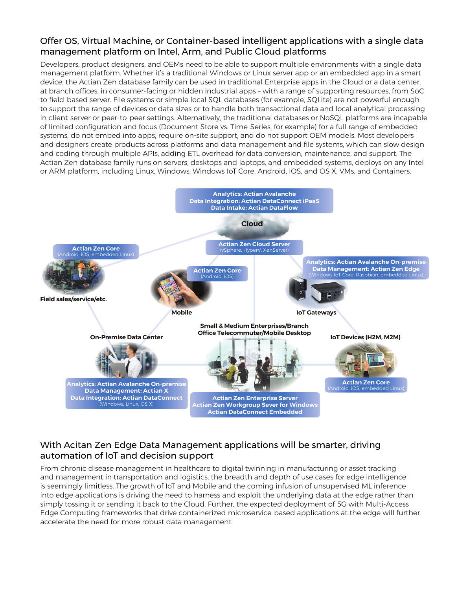#### Offer OS, Virtual Machine, or Container-based intelligent applications with a single data management platform on Intel, Arm, and Public Cloud platforms

Developers, product designers, and OEMs need to be able to support multiple environments with a single data management platform. Whether it's a traditional Windows or Linux server app or an embedded app in a smart device, the Actian Zen database family can be used in traditional Enterprise apps in the Cloud or a data center, at branch offices, in consumer-facing or hidden industrial apps – with a range of supporting resources, from SoC to field-based server. File systems or simple local SQL databases (for example, SQLite) are not powerful enough to support the range of devices or data sizes or to handle both transactional data and local analytical processing in client-server or peer-to-peer settings. Alternatively, the traditional databases or NoSQL platforms are incapable of limited configuration and focus (Document Store vs. Time-Series, for example) for a full range of embedded systems, do not embed into apps, require on-site support, and do not support OEM models. Most developers and designers create products across platforms and data management and file systems, which can slow design and coding through multiple APIs, adding ETL overhead for data conversion, maintenance, and support. The Actian Zen database family runs on servers, desktops and laptops, and embedded systems, deploys on any Intel or ARM platform, including Linux, Windows, Windows IoT Core, Android, iOS, and OS X, VMs, and Containers.



## With Acitan Zen Edge Data Management applications will be smarter, driving automation of IoT and decision support

From chronic disease management in healthcare to digital twinning in manufacturing or asset tracking and management in transportation and logistics, the breadth and depth of use cases for edge intelligence is seemingly limitless. The growth of IoT and Mobile and the coming infusion of unsupervised ML inference into edge applications is driving the need to harness and exploit the underlying data at the edge rather than simply tossing it or sending it back to the Cloud. Further, the expected deployment of 5G with Multi-Access Edge Computing frameworks that drive containerized microservice-based applications at the edge will further accelerate the need for more robust data management.